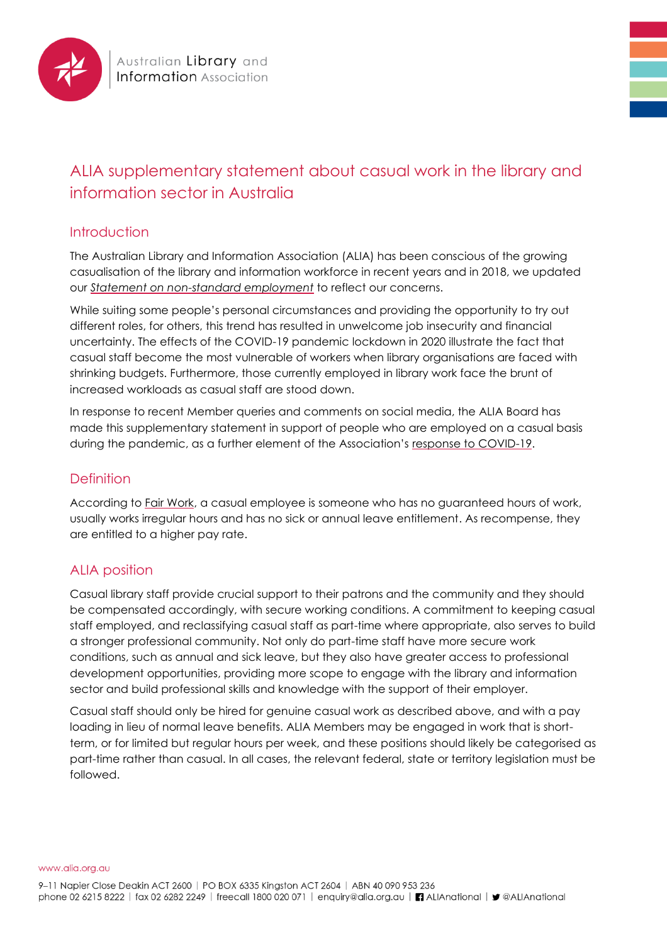

# ALIA supplementary statement about casual work in the library and information sector in Australia

### **Introduction**

The Australian Library and Information Association (ALIA) has been conscious of the growing casualisation of the library and information workforce in recent years and in 2018, we updated our *[Statement on non-standard employment](https://www.alia.org.au/about-alia/policies-standards-and-guidelines/statement-non-standard-employment)* to reflect our concerns.

While suiting some people's personal circumstances and providing the opportunity to try out different roles, for others, this trend has resulted in unwelcome job insecurity and financial uncertainty. The effects of the COVID-19 pandemic lockdown in 2020 illustrate the fact that casual staff become the most vulnerable of workers when library organisations are faced with shrinking budgets. Furthermore, those currently employed in library work face the brunt of increased workloads as casual staff are stood down.

In response to recent Member queries and comments on social media, the ALIA Board has made this supplementary statement in support of people who are employed on a casual basis during the pandemic, as a further element of the Association's [response to COVID-19.](https://www.alia.org.au/australian-libraries-responding-covid-19)

## Definition

According to [Fair Work,](https://www.fairwork.gov.au/employee-entitlements/types-of-employees/casual-part-time-and-full-time/casual-employees) a casual employee is someone who has no guaranteed hours of work, usually works irregular hours and has no sick or annual leave entitlement. As recompense, they are entitled to a higher pay rate.

## ALIA position

Casual library staff provide crucial support to their patrons and the community and they should be compensated accordingly, with secure working conditions. A commitment to keeping casual staff employed, and reclassifying casual staff as part-time where appropriate, also serves to build a stronger professional community. Not only do part-time staff have more secure work conditions, such as annual and sick leave, but they also have greater access to professional development opportunities, providing more scope to engage with the library and information sector and build professional skills and knowledge with the support of their employer.

Casual staff should only be hired for genuine casual work as described above, and with a pay loading in lieu of normal leave benefits. ALIA Members may be engaged in work that is shortterm, or for limited but regular hours per week, and these positions should likely be categorised as part-time rather than casual. In all cases, the relevant federal, state or territory legislation must be followed.

www.alia.org.au